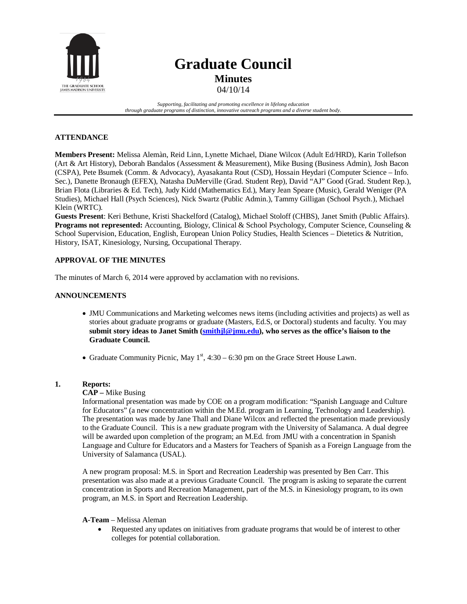

# **Graduate Council Minutes**

04/10/14

*Supporting, facilitating and promoting excellence in lifelong education through graduate programs of distinction, innovative outreach programs and a diverse student body.*

# **ATTENDANCE**

**Members Present:** Melissa Alemàn, Reid Linn, Lynette Michael, Diane Wilcox (Adult Ed/HRD), Karin Tollefson (Art & Art History), Deborah Bandalos (Assessment & Measurement), Mike Busing (Business Admin), Josh Bacon (CSPA), Pete Bsumek (Comm. & Advocacy), Ayasakanta Rout (CSD), Hossain Heydari (Computer Science – Info. Sec.), Danette Bronaugh (EFEX), Natasha DuMerville (Grad. Student Rep), David "AJ" Good (Grad. Student Rep.), Brian Flota (Libraries & Ed. Tech), Judy Kidd (Mathematics Ed.), Mary Jean Speare (Music), Gerald Weniger (PA Studies), Michael Hall (Psych Sciences), Nick Swartz (Public Admin.), Tammy Gilligan (School Psych.), Michael Klein (WRTC).

**Guests Present**: Keri Bethune, Kristi Shackelford (Catalog), Michael Stoloff (CHBS), Janet Smith (Public Affairs). **Programs not represented:** Accounting, Biology, Clinical & School Psychology, Computer Science, Counseling & School Supervision, Education, English, European Union Policy Studies, Health Sciences – Dietetics & Nutrition, History, ISAT, Kinesiology, Nursing, Occupational Therapy.

# **APPROVAL OF THE MINUTES**

The minutes of March 6, 2014 were approved by acclamation with no revisions.

# **ANNOUNCEMENTS**

- JMU Communications and Marketing welcomes news items (including activities and projects) as well as stories about graduate programs or graduate (Masters, Ed.S, or Doctoral) students and faculty. You may **submit story ideas to Janet Smith (smithjl@jmu.edu), who serves as the office's liaison to the Graduate Council.**
- Graduate Community Picnic, May  $1<sup>st</sup>$ , 4:30 6:30 pm on the Grace Street House Lawn.

# **1. Reports:**

# **CAP –** Mike Busing

Informational presentation was made by COE on a program modification: "Spanish Language and Culture for Educators" (a new concentration within the M.Ed. program in Learning, Technology and Leadership). The presentation was made by Jane Thall and Diane Wilcox and reflected the presentation made previously to the Graduate Council. This is a new graduate program with the University of Salamanca. A dual degree will be awarded upon completion of the program; an M.Ed. from JMU with a concentration in Spanish Language and Culture for Educators and a Masters for Teachers of Spanish as a Foreign Language from the University of Salamanca (USAL).

A new program proposal: M.S. in Sport and Recreation Leadership was presented by Ben Carr. This presentation was also made at a previous Graduate Council. The program is asking to separate the current concentration in Sports and Recreation Management, part of the M.S. in Kinesiology program, to its own program, an M.S. in Sport and Recreation Leadership.

## **A-Team** – Melissa Aleman

• Requested any updates on initiatives from graduate programs that would be of interest to other colleges for potential collaboration.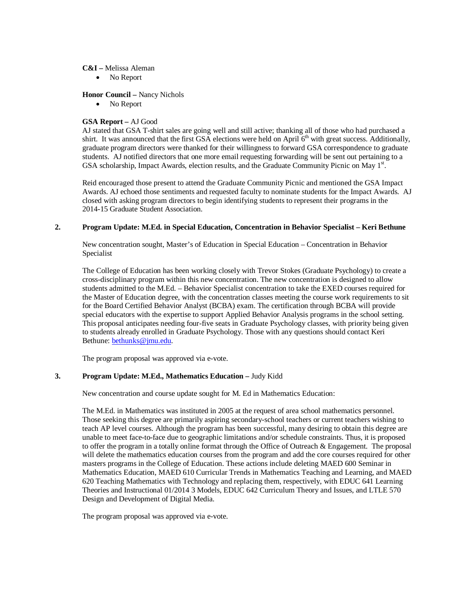#### **C&I –** Melissa Aleman

• No Report

## **Honor Council –** Nancy Nichols

• No Report

# **GSA Report –** AJ Good

AJ stated that GSA T-shirt sales are going well and still active; thanking all of those who had purchased a shirt. It was announced that the first GSA elections were held on April 6<sup>th</sup> with great success. Additionally, graduate program directors were thanked for their willingness to forward GSA correspondence to graduate students. AJ notified directors that one more email requesting forwarding will be sent out pertaining to a GSA scholarship, Impact Awards, election results, and the Graduate Community Picnic on May 1st.

Reid encouraged those present to attend the Graduate Community Picnic and mentioned the GSA Impact Awards. AJ echoed those sentiments and requested faculty to nominate students for the Impact Awards. AJ closed with asking program directors to begin identifying students to represent their programs in the 2014-15 Graduate Student Association.

# **2. Program Update: M.Ed. in Special Education, Concentration in Behavior Specialist – Keri Bethune**

New concentration sought, Master's of Education in Special Education – Concentration in Behavior Specialist

The College of Education has been working closely with Trevor Stokes (Graduate Psychology) to create a cross-disciplinary program within this new concentration. The new concentration is designed to allow students admitted to the M.Ed. – Behavior Specialist concentration to take the EXED courses required for the Master of Education degree, with the concentration classes meeting the course work requirements to sit for the Board Certified Behavior Analyst (BCBA) exam. The certification through BCBA will provide special educators with the expertise to support Applied Behavior Analysis programs in the school setting. This proposal anticipates needing four-five seats in Graduate Psychology classes, with priority being given to students already enrolled in Graduate Psychology. Those with any questions should contact Keri Bethune[: bethunks@jmu.edu.](mailto:bethunks@jmu.edu)

The program proposal was approved via e-vote.

# **3. Program Update: M.Ed., Mathematics Education –** Judy Kidd

New concentration and course update sought for M. Ed in Mathematics Education:

The M.Ed. in Mathematics was instituted in 2005 at the request of area school mathematics personnel. Those seeking this degree are primarily aspiring secondary-school teachers or current teachers wishing to teach AP level courses. Although the program has been successful, many desiring to obtain this degree are unable to meet face-to-face due to geographic limitations and/or schedule constraints. Thus, it is proposed to offer the program in a totally online format through the Office of Outreach & Engagement. The proposal will delete the mathematics education courses from the program and add the core courses required for other masters programs in the College of Education. These actions include deleting MAED 600 Seminar in Mathematics Education, MAED 610 Curricular Trends in Mathematics Teaching and Learning, and MAED 620 Teaching Mathematics with Technology and replacing them, respectively, with EDUC 641 Learning Theories and Instructional 01/2014 3 Models, EDUC 642 Curriculum Theory and Issues, and LTLE 570 Design and Development of Digital Media.

The program proposal was approved via e-vote.